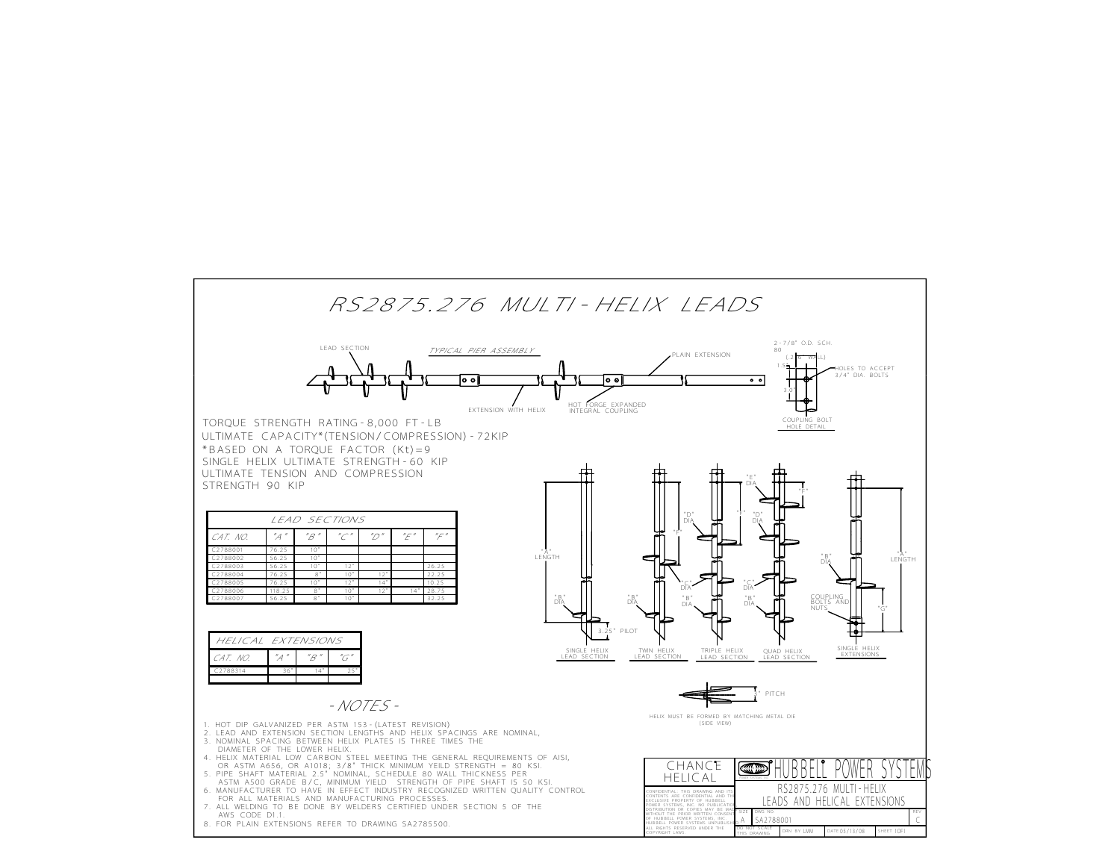